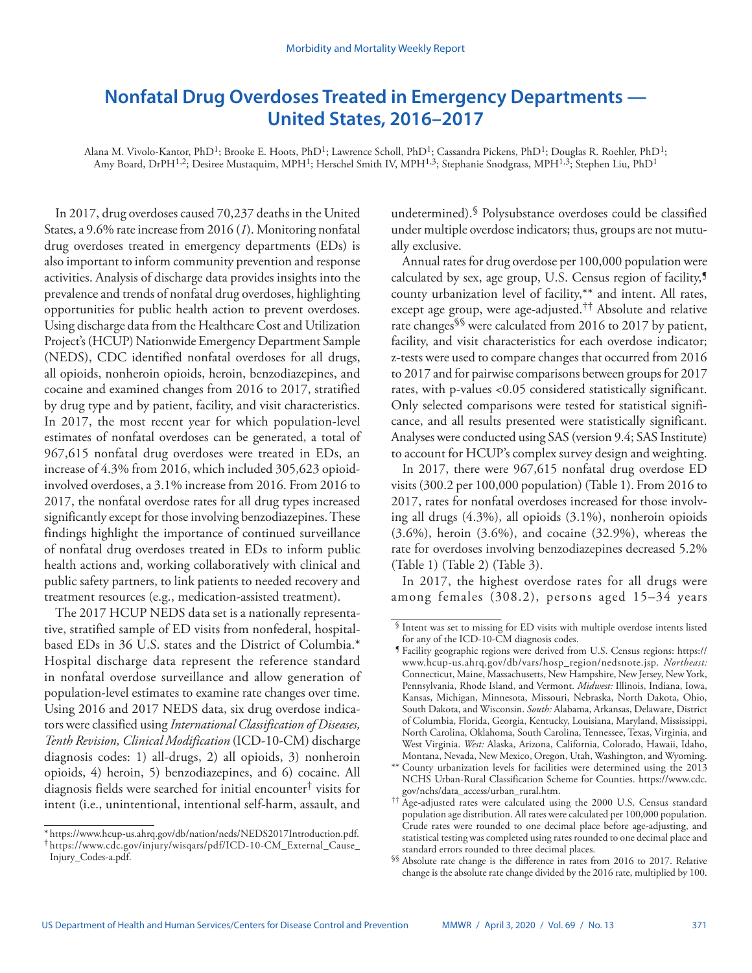# **Nonfatal Drug Overdoses Treated in Emergency Departments — United States, 2016–2017**

Alana M. Vivolo-Kantor, PhD1; Brooke E. Hoots, PhD1; Lawrence Scholl, PhD1; Cassandra Pickens, PhD1; Douglas R. Roehler, PhD1; Amy Board, DrPH<sup>1,2</sup>; Desiree Mustaquim, MPH<sup>1</sup>; Herschel Smith IV, MPH<sup>1,3</sup>; Stephanie Snodgrass, MPH<sup>1,3</sup>; Stephen Liu, PhD<sup>1</sup>

In 2017, drug overdoses caused 70,237 deaths in the United States, a 9.6% rate increase from 2016 (*1*). Monitoring nonfatal drug overdoses treated in emergency departments (EDs) is also important to inform community prevention and response activities. Analysis of discharge data provides insights into the prevalence and trends of nonfatal drug overdoses, highlighting opportunities for public health action to prevent overdoses. Using discharge data from the Healthcare Cost and Utilization Project's (HCUP) Nationwide Emergency Department Sample (NEDS), CDC identified nonfatal overdoses for all drugs, all opioids, nonheroin opioids, heroin, benzodiazepines, and cocaine and examined changes from 2016 to 2017, stratified by drug type and by patient, facility, and visit characteristics. In 2017, the most recent year for which population-level estimates of nonfatal overdoses can be generated, a total of 967,615 nonfatal drug overdoses were treated in EDs, an increase of 4.3% from 2016, which included 305,623 opioidinvolved overdoses, a 3.1% increase from 2016. From 2016 to 2017, the nonfatal overdose rates for all drug types increased significantly except for those involving benzodiazepines. These findings highlight the importance of continued surveillance of nonfatal drug overdoses treated in EDs to inform public health actions and, working collaboratively with clinical and public safety partners, to link patients to needed recovery and treatment resources (e.g., medication-assisted treatment).

The 2017 HCUP NEDS data set is a nationally representative, stratified sample of ED visits from nonfederal, hospitalbased EDs in 36 U.S. states and the District of Columbia.\* Hospital discharge data represent the reference standard in nonfatal overdose surveillance and allow generation of population-level estimates to examine rate changes over time. Using 2016 and 2017 NEDS data, six drug overdose indicators were classified using *International Classification of Diseases, Tenth Revision, Clinical Modification* (ICD-10-CM) discharge diagnosis codes: 1) all-drugs, 2) all opioids, 3) nonheroin opioids, 4) heroin, 5) benzodiazepines, and 6) cocaine. All diagnosis fields were searched for initial encounter† visits for intent (i.e., unintentional, intentional self-harm, assault, and

undetermined).§ Polysubstance overdoses could be classified under multiple overdose indicators; thus, groups are not mutually exclusive.

Annual rates for drug overdose per 100,000 population were calculated by sex, age group, U.S. Census region of facility,<sup>5</sup> county urbanization level of facility,\*\* and intent. All rates, except age group, were age-adjusted.†† Absolute and relative rate changes§§ were calculated from 2016 to 2017 by patient, facility, and visit characteristics for each overdose indicator; z-tests were used to compare changes that occurred from 2016 to 2017 and for pairwise comparisons between groups for 2017 rates, with p-values <0.05 considered statistically significant. Only selected comparisons were tested for statistical significance, and all results presented were statistically significant. Analyses were conducted using SAS (version 9.4; SAS Institute) to account for HCUP's complex survey design and weighting.

In 2017, there were 967,615 nonfatal drug overdose ED visits (300.2 per 100,000 population) (Table 1). From 2016 to 2017, rates for nonfatal overdoses increased for those involving all drugs (4.3%), all opioids (3.1%), nonheroin opioids (3.6%), heroin (3.6%), and cocaine (32.9%), whereas the rate for overdoses involving benzodiazepines decreased 5.2% (Table 1) (Table 2) (Table 3).

In 2017, the highest overdose rates for all drugs were among females (308.2), persons aged 15–34 years

<sup>\*</sup> [https://www.hcup-us.ahrq.gov/db/nation/neds/NEDS2017Introduction.pdf.](https://www.hcup-us.ahrq.gov/db/nation/neds/NEDS2017Introduction.pdf) † [https://www.cdc.gov/injury/wisqars/pdf/ICD-10-CM\\_External\\_Cause\\_](https://www.cdc.gov/injury/wisqars/pdf/ICD-10-CM_External_Cause_Injury_Codes-a.pdf) [Injury\\_Codes-a.pdf.](https://www.cdc.gov/injury/wisqars/pdf/ICD-10-CM_External_Cause_Injury_Codes-a.pdf)

<sup>§</sup> Intent was set to missing for ED visits with multiple overdose intents listed for any of the ICD-10-CM diagnosis codes.

<sup>¶</sup> Facility geographic regions were derived from U.S. Census regions: [https://](https://www.hcup-us.ahrq.gov/db/vars/hosp_region/nedsnote.jsp) [www.hcup-us.ahrq.gov/db/vars/hosp\\_region/nedsnote.jsp.](https://www.hcup-us.ahrq.gov/db/vars/hosp_region/nedsnote.jsp) *Northeast:* Connecticut, Maine, Massachusetts, New Hampshire, New Jersey, New York, Pennsylvania, Rhode Island, and Vermont. *Midwest:* Illinois, Indiana, Iowa, Kansas, Michigan, Minnesota, Missouri, Nebraska, North Dakota, Ohio, South Dakota, and Wisconsin. *South:* Alabama, Arkansas, Delaware, District of Columbia, Florida, Georgia, Kentucky, Louisiana, Maryland, Mississippi, North Carolina, Oklahoma, South Carolina, Tennessee, Texas, Virginia, and West Virginia. *West:* Alaska, Arizona, California, Colorado, Hawaii, Idaho, Montana, Nevada, New Mexico, Oregon, Utah, Washington, and Wyoming.

<sup>\*\*</sup> County urbanization levels for facilities were determined using the 2013 NCHS Urban-Rural Classification Scheme for Counties. [https://www.cdc.](https://www.cdc.gov/nchs/data_access/urban_rural.htm)

<sup>&</sup>lt;sup>†† Age-adjusted rates were calculated using the 2000 U.S. Census standard</sup> population age distribution. All rates were calculated per 100,000 population. Crude rates were rounded to one decimal place before age-adjusting, and statistical testing was completed using rates rounded to one decimal place and standard errors rounded to three decimal places.

<sup>§§</sup> Absolute rate change is the difference in rates from 2016 to 2017. Relative change is the absolute rate change divided by the 2016 rate, multiplied by 100.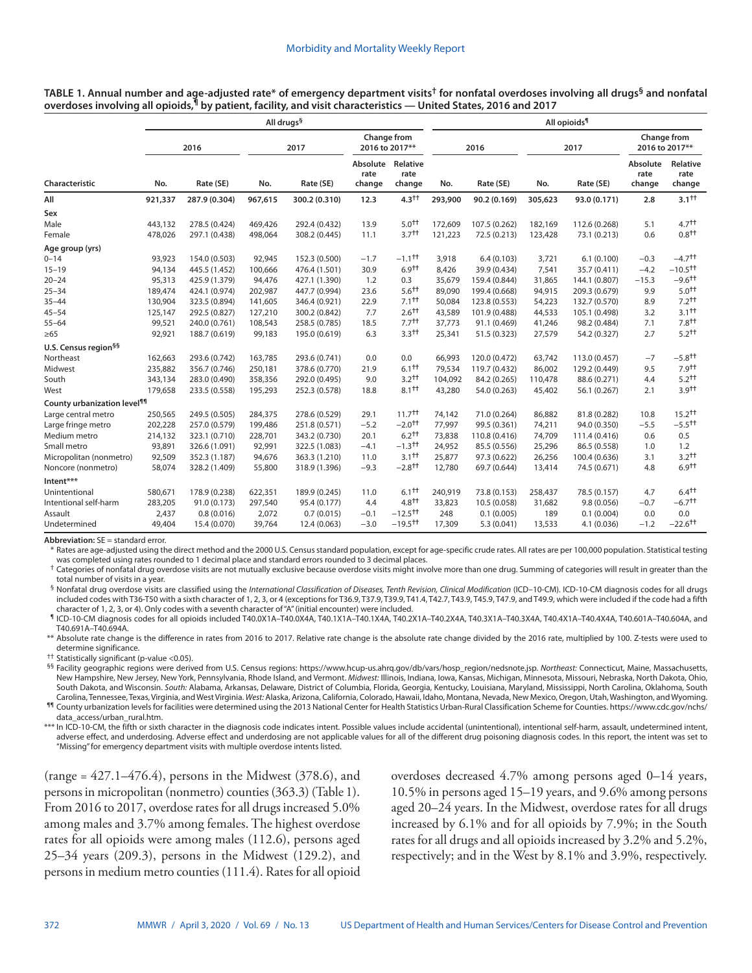**TABLE 1. Annual number and age-adjusted rate\* of emergency department visits† for nonfatal overdoses involving all drugs§ and nonfatal overdoses involving all opioids,¶ by patient, facility, and visit characteristics — United States, 2016 and 2017**

|                                         | All drugs <sup>§</sup> |               |         |               |                                     |                        |         | All opioids <sup>1</sup> |         |               |                               |                            |  |  |
|-----------------------------------------|------------------------|---------------|---------|---------------|-------------------------------------|------------------------|---------|--------------------------|---------|---------------|-------------------------------|----------------------------|--|--|
|                                         | 2016                   |               | 2017    |               | Change from<br>2016 to 2017**       |                        | 2016    |                          | 2017    |               | Change from<br>2016 to 2017** |                            |  |  |
| Characteristic                          | No.                    | Rate (SE)     | No.     | Rate (SE)     | Absolute Relative<br>rate<br>change | rate<br>change         | No.     | Rate (SE)                | No.     | Rate (SE)     | Absolute<br>rate<br>change    | Relative<br>rate<br>change |  |  |
| All                                     | 921,337                | 287.9 (0.304) | 967,615 | 300.2 (0.310) | 12.3                                | $4.3^{++}$             | 293,900 | 90.2 (0.169)             | 305,623 | 93.0 (0.171)  | 2.8                           | $3.1^{++}$                 |  |  |
| Sex                                     |                        |               |         |               |                                     |                        |         |                          |         |               |                               |                            |  |  |
| Male                                    | 443,132                | 278.5 (0.424) | 469,426 | 292.4 (0.432) | 13.9                                | $5.0^{+1}$             | 172.609 | 107.5 (0.262)            | 182,169 | 112.6 (0.268) | 5.1                           | 4.7 <sup>†</sup>           |  |  |
| Female                                  | 478,026                | 297.1 (0.438) | 498,064 | 308.2 (0.445) | 11.1                                | $3.7^{+1}$             | 121,223 | 72.5 (0.213)             | 123,428 | 73.1 (0.213)  | 0.6                           | $0.8^{++}$                 |  |  |
| Age group (yrs)                         |                        |               |         |               |                                     |                        |         |                          |         |               |                               |                            |  |  |
| $0 - 14$                                | 93,923                 | 154.0 (0.503) | 92,945  | 152.3 (0.500) | $-1.7$                              | $-1.1$ <sup>++</sup>   | 3,918   | 6.4(0.103)               | 3,721   | 6.1(0.100)    | $-0.3$                        | $-4.7$ <sup>++</sup>       |  |  |
| $15 - 19$                               | 94,134                 | 445.5 (1.452) | 100,666 | 476.4 (1.501) | 30.9                                | $6.9^{++}$             | 8,426   | 39.9 (0.434)             | 7,541   | 35.7 (0.411)  | $-4.2$                        | $-10.5$ <sup>++</sup>      |  |  |
| $20 - 24$                               | 95,313                 | 425.9 (1.379) | 94,476  | 427.1 (1.390) | 1.2                                 | 0.3                    | 35,679  | 159.4 (0.844)            | 31,865  | 144.1 (0.807) | $-15.3$                       | $-9.6$ <sup>++</sup>       |  |  |
| $25 - 34$                               | 189,474                | 424.1 (0.974) | 202,987 | 447.7 (0.994) | 23.6                                | $5.6^{++}$             | 89,090  | 199.4 (0.668)            | 94,915  | 209.3 (0.679) | 9.9                           | $5.0^{++}$                 |  |  |
| $35 - 44$                               | 130,904                | 323.5 (0.894) | 141,605 | 346.4 (0.921) | 22.9                                | $7.1$ <sup>++</sup>    | 50,084  | 123.8 (0.553)            | 54,223  | 132.7 (0.570) | 8.9                           | $7.2++$                    |  |  |
| $45 - 54$                               | 125,147                | 292.5 (0.827) | 127,210 | 300.2 (0.842) | 7.7                                 | $2.6^{+1}$             | 43,589  | 101.9 (0.488)            | 44,533  | 105.1 (0.498) | 3.2                           | $3.1++$                    |  |  |
| $55 - 64$                               | 99,521                 | 240.0 (0.761) | 108,543 | 258.5 (0.785) | 18.5                                | $7.7^{++}$             | 37,773  | 91.1 (0.469)             | 41,246  | 98.2 (0.484)  | 7.1                           | 7.8 <sup>†</sup>           |  |  |
| $\geq 65$                               | 92,921                 | 188.7 (0.619) | 99,183  | 195.0 (0.619) | 6.3                                 | 3.3 <sup>†</sup>       | 25,341  | 51.5 (0.323)             | 27,579  | 54.2 (0.327)  | 2.7                           | 5.2 <sup>†</sup>           |  |  |
| U.S. Census region <sup>§§</sup>        |                        |               |         |               |                                     |                        |         |                          |         |               |                               |                            |  |  |
| Northeast                               | 162.663                | 293.6 (0.742) | 163,785 | 293.6 (0.741) | 0.0                                 | 0.0                    | 66.993  | 120.0 (0.472)            | 63,742  | 113.0 (0.457) | $-7$                          | $-5.8$ <sup>++</sup>       |  |  |
| Midwest                                 | 235,882                | 356.7 (0.746) | 250,181 | 378.6 (0.770) | 21.9                                | $6.1$ <sup>++</sup>    | 79,534  | 119.7 (0.432)            | 86,002  | 129.2 (0.449) | 9.5                           | 7.9 <sup>†</sup>           |  |  |
| South                                   | 343,134                | 283.0 (0.490) | 358,356 | 292.0 (0.495) | 9.0                                 | $3.2^{++}$             | 104,092 | 84.2 (0.265)             | 110,478 | 88.6 (0.271)  | 4.4                           | $5.2^{++}$                 |  |  |
| West                                    | 179,658                | 233.5 (0.558) | 195,293 | 252.3 (0.578) | 18.8                                | 8.1 <sup>†</sup>       | 43,280  | 54.0 (0.263)             | 45,402  | 56.1 (0.267)  | 2.1                           | 3.9 <sup>†</sup>           |  |  |
| County urbanization level <sup>11</sup> |                        |               |         |               |                                     |                        |         |                          |         |               |                               |                            |  |  |
| Large central metro                     | 250,565                | 249.5 (0.505) | 284,375 | 278.6 (0.529) | 29.1                                | $11.7^{++}$            | 74,142  | 71.0 (0.264)             | 86,882  | 81.8 (0.282)  | 10.8                          | $15.2^{\dagger\dagger}$    |  |  |
| Large fringe metro                      | 202,228                | 257.0 (0.579) | 199,486 | 251.8 (0.571) | $-5.2$                              | $-2.0^{+1}$            | 77,997  | 99.5 (0.361)             | 74,211  | 94.0 (0.350)  | $-5.5$                        | $-5.5$ <sup>++</sup>       |  |  |
| Medium metro                            | 214,132                | 323.1 (0.710) | 228,701 | 343.2 (0.730) | 20.1                                | $6.2^{++}$             | 73,838  | 110.8 (0.416)            | 74,709  | 111.4 (0.416) | 0.6                           | 0.5                        |  |  |
| Small metro                             | 93,891                 | 326.6 (1.091) | 92,991  | 322.5 (1.083) | $-4.1$                              | $-1.3$ <sup>++</sup>   | 24,952  | 85.5 (0.556)             | 25,296  | 86.5 (0.558)  | 1.0                           | 1.2                        |  |  |
| Micropolitan (nonmetro)                 | 92,509                 | 352.3 (1.187) | 94,676  | 363.3 (1.210) | 11.0                                | $3.1^{++}$             | 25,877  | 97.3 (0.622)             | 26,256  | 100.4 (0.636) | 3.1                           | $3.2^{++}$                 |  |  |
| Noncore (nonmetro)                      | 58,074                 | 328.2 (1.409) | 55,800  | 318.9 (1.396) | $-9.3$                              | $-2.8$ <sup>++</sup>   | 12,780  | 69.7 (0.644)             | 13,414  | 74.5 (0.671)  | 4.8                           | 6.9 <sup>†</sup>           |  |  |
| Intent***                               |                        |               |         |               |                                     |                        |         |                          |         |               |                               |                            |  |  |
| Unintentional                           | 580,671                | 178.9 (0.238) | 622,351 | 189.9 (0.245) | 11.0                                | $6.1++$                | 240,919 | 73.8 (0.153)             | 258,437 | 78.5 (0.157)  | 4.7                           | $6.4^{\dagger\dagger}$     |  |  |
| Intentional self-harm                   | 283,205                | 91.0 (0.173)  | 297,540 | 95.4 (0.177)  | 4.4                                 | $4.8^{\dagger\dagger}$ | 33,823  | 10.5 (0.058)             | 31,682  | 9.8(0.056)    | $-0.7$                        | $-6.7$ <sup>††</sup>       |  |  |
| Assault                                 | 2,437                  | 0.8(0.016)    | 2,072   | 0.7(0.015)    | $-0.1$                              | $-12.5$ <sup>++</sup>  | 248     | 0.1(0.005)               | 189     | 0.1(0.004)    | 0.0                           | 0.0                        |  |  |
| Undetermined                            | 49,404                 | 15.4 (0.070)  | 39,764  | 12.4 (0.063)  | $-3.0$                              | $-19.5$ <sup>++</sup>  | 17,309  | 5.3(0.041)               | 13,533  | 4.1 (0.036)   | $-1.2$                        | $-22.6$ <sup>++</sup>      |  |  |

**Abbreviation:** SE = standard error.

\* Rates are age-adjusted using the direct method and the 2000 U.S. Census standard population, except for age-specific crude rates. All rates are per 100,000 population. Statistical testing was completed using rates rounded to 1 decimal place and standard errors rounded to 3 decimal places.

 $\dagger$  Categories of nonfatal drug overdose visits are not mutually exclusive because overdose visits might involve more than one drug. Summing of categories will result in greater than the total number of visits in a year.

§ Nonfatal drug overdose visits are classified using the International Classification of Diseases, Tenth Revision, Clinical Modification (ICD-10-CM). ICD-10-CM diagnosis codes for all drugs included codes with T36-T50 with a sixth character of 1, 2, 3, or 4 (exceptions for T36.9, T37.9, T39.9, T41.4, T42.7, T43.9, T45.9, T47.9, and T49.9, which were included if the code had a fifth character of 1, 2, 3, or 4). Only codes with a seventh character of "A" (initial encounter) were included.

¶ ICD-10-CM diagnosis codes for all opioids included T40.0X1A–T40.0X4A, T40.1X1A–T40.1X4A, T40.2X1A–T40.2X4A, T40.3X1A–T40.3X4A, T40.4X1A–T40.4X4A, T40.601A–T40.604A, and T40.691A–T40.694A.

\*\* Absolute rate change is the difference in rates from 2016 to 2017. Relative rate change is the absolute rate change divided by the 2016 rate, multiplied by 100. Z-tests were used to determine significance.

†† Statistically significant (p-value <0.05).

§§ Facility geographic regions were derived from U.S. Census regions: [https://www.hcup-us.ahrq.gov/db/vars/hosp\\_region/nedsnote.jsp.](https://www.hcup-us.ahrq.gov/db/vars/hosp_region/nedsnote.jsp) *Northeast:* Connecticut, Maine, Massachusetts, New Hampshire, New Jersey, New York, Pennsylvania, Rhode Island, and Vermont. *Midwest:* Illinois, Indiana, Iowa, Kansas, Michigan, Minnesota, Missouri, Nebraska, North Dakota, Ohio, South Dakota, and Wisconsin. *South:* Alabama, Arkansas, Delaware, District of Columbia, Florida, Georgia, Kentucky, Louisiana, Maryland, Mississippi, North Carolina, Oklahoma, South Carolina, Tennessee, Texas, Virginia, and West Virginia. *West:* Alaska, Arizona, California, Colorado, Hawaii, Idaho, Montana, Nevada, New Mexico, Oregon, Utah, Washington, and Wyoming. ¶¶ County urbanization levels for facilities were determined using the 2013 National Center for Health Statistics Urban-Rural Classification Scheme for Counties. [https://www.cdc.gov/nchs/](https://www.cdc.gov/nchs/data_access/urban_rural.htm)

[data\\_access/urban\\_rural.htm](https://www.cdc.gov/nchs/data_access/urban_rural.htm). \*\*\* In ICD-10-CM, the fifth or sixth character in the diagnosis code indicates intent. Possible values include accidental (unintentional), intentional self-harm, assault, undetermined intent,

adverse effect, and underdosing. Adverse effect and underdosing are not applicable values for all of the different drug poisoning diagnosis codes. In this report, the intent was set to "Missing" for emergency department visits with multiple overdose intents listed.

(range =  $427.1 - 476.4$ ), persons in the Midwest (378.6), and persons in micropolitan (nonmetro) counties (363.3) (Table 1). From 2016 to 2017, overdose rates for all drugs increased 5.0% among males and 3.7% among females. The highest overdose rates for all opioids were among males (112.6), persons aged 25–34 years (209.3), persons in the Midwest (129.2), and persons in medium metro counties (111.4). Rates for all opioid overdoses decreased 4.7% among persons aged 0–14 years, 10.5% in persons aged 15–19 years, and 9.6% among persons aged 20–24 years. In the Midwest, overdose rates for all drugs increased by 6.1% and for all opioids by 7.9%; in the South rates for all drugs and all opioids increased by 3.2% and 5.2%, respectively; and in the West by 8.1% and 3.9%, respectively.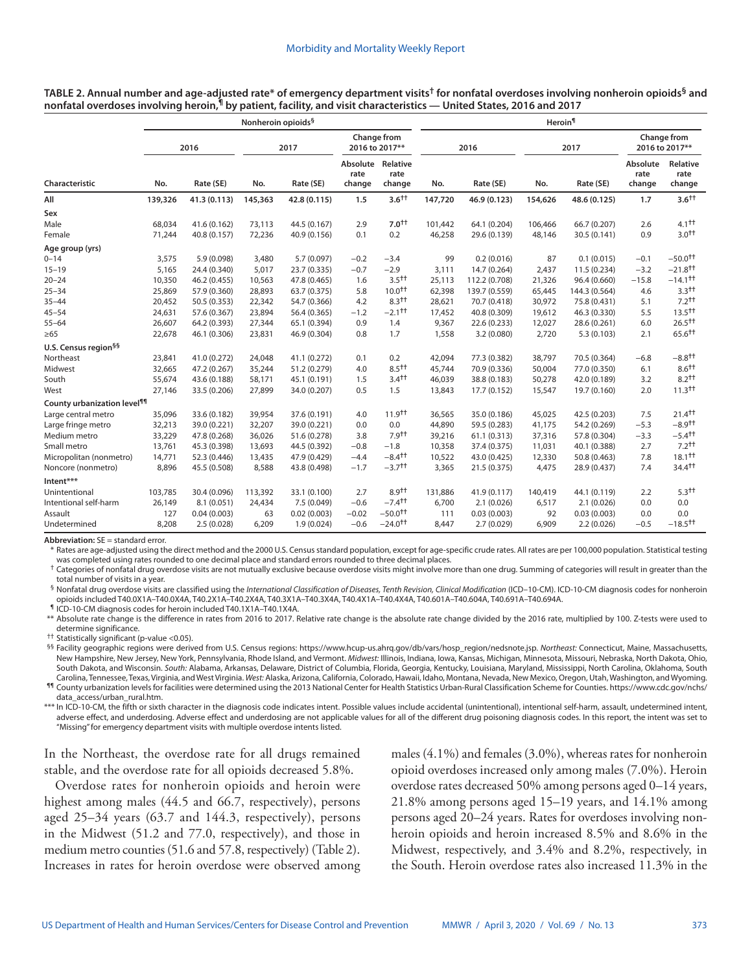**TABLE 2. Annual number and age-adjusted rate\* of emergency department visits† for nonfatal overdoses involving nonheroin opioids§ and nonfatal overdoses involving heroin,¶ by patient, facility, and visit characteristics — United States, 2016 and 2017**

|                                         | Nonheroin opioids <sup>§</sup> |              |         |              |                               |                                     |         | Heroin <sup>1</sup> |         |               |                               |                                  |  |  |
|-----------------------------------------|--------------------------------|--------------|---------|--------------|-------------------------------|-------------------------------------|---------|---------------------|---------|---------------|-------------------------------|----------------------------------|--|--|
|                                         | 2016                           |              | 2017    |              | Change from<br>2016 to 2017** |                                     | 2016    |                     | 2017    |               | Change from<br>2016 to 2017** |                                  |  |  |
| Characteristic                          | No.                            | Rate (SE)    | No.     | Rate (SE)    | rate<br>change                | Absolute Relative<br>rate<br>change | No.     | Rate (SE)           | No.     | Rate (SE)     | Absolute<br>rate<br>change    | Relative<br>rate<br>change       |  |  |
| All                                     | 139,326                        | 41.3 (0.113) | 145,363 | 42.8 (0.115) | 1.5                           | $3.6^{++}$                          | 147,720 | 46.9 (0.123)        | 154,626 | 48.6 (0.125)  | 1.7                           | $3.6^{++}$                       |  |  |
| Sex                                     |                                |              |         |              |                               |                                     |         |                     |         |               |                               |                                  |  |  |
| Male                                    | 68,034                         | 41.6 (0.162) | 73,113  | 44.5 (0.167) | 2.9                           | $7.0^{++}$                          | 101,442 | 64.1 (0.204)        | 106,466 | 66.7 (0.207)  | 2.6                           | $4.1^{\text{+}}$                 |  |  |
| Female                                  | 71,244                         | 40.8 (0.157) | 72,236  | 40.9 (0.156) | 0.1                           | 0.2                                 | 46,258  | 29.6 (0.139)        | 48,146  | 30.5 (0.141)  | 0.9                           | $3.0^{+1}$                       |  |  |
| Age group (yrs)                         |                                |              |         |              |                               |                                     |         |                     |         |               |                               |                                  |  |  |
| $0 - 14$                                | 3,575                          | 5.9 (0.098)  | 3,480   | 5.7 (0.097)  | $-0.2$                        | $-3.4$                              | 99      | 0.2(0.016)          | 87      | 0.1(0.015)    | $-0.1$                        | $-50.0$ <sup>++</sup>            |  |  |
| $15 - 19$                               | 5,165                          | 24.4 (0.340) | 5,017   | 23.7 (0.335) | $-0.7$                        | $-2.9$                              | 3,111   | 14.7 (0.264)        | 2,437   | 11.5 (0.234)  | $-3.2$                        | $-21.8$ <sup>++</sup>            |  |  |
| $20 - 24$                               | 10,350                         | 46.2 (0.455) | 10,563  | 47.8 (0.465) | 1.6                           | 3.5 <sup>†</sup>                    | 25,113  | 112.2 (0.708)       | 21,326  | 96.4 (0.660)  | $-15.8$                       | $-14.1$ <sup>++</sup>            |  |  |
| $25 - 34$                               | 25,869                         | 57.9 (0.360) | 28,893  | 63.7 (0.375) | 5.8                           | $10.0^{+1}$                         | 62,398  | 139.7 (0.559)       | 65,445  | 144.3 (0.564) | 4.6                           | 3.3 <sup>†</sup>                 |  |  |
| $35 - 44$                               | 20,452                         | 50.5 (0.353) | 22,342  | 54.7 (0.366) | 4.2                           | $8.3^{++}$                          | 28,621  | 70.7 (0.418)        | 30,972  | 75.8 (0.431)  | 5.1                           | $7.2^{++}$                       |  |  |
| $45 - 54$                               | 24,631                         | 57.6 (0.367) | 23,894  | 56.4 (0.365) | $-1.2$                        | $-2.1$ <sup>++</sup>                | 17,452  | 40.8 (0.309)        | 19,612  | 46.3 (0.330)  | 5.5                           | $13.5^{\dagger\dagger}$          |  |  |
| $55 - 64$                               | 26,607                         | 64.2 (0.393) | 27,344  | 65.1 (0.394) | 0.9                           | 1.4                                 | 9,367   | 22.6 (0.233)        | 12,027  | 28.6 (0.261)  | 6.0                           | $26.5^{\dagger\dagger}$          |  |  |
| $\geq 65$                               | 22,678                         | 46.1 (0.306) | 23,831  | 46.9 (0.304) | 0.8                           | 1.7                                 | 1,558   | 3.2(0.080)          | 2,720   | 5.3(0.103)    | 2.1                           | $65.6$ <sup>++</sup>             |  |  |
| U.S. Census region <sup>§§</sup>        |                                |              |         |              |                               |                                     |         |                     |         |               |                               |                                  |  |  |
| Northeast                               | 23,841                         | 41.0 (0.272) | 24,048  | 41.1 (0.272) | 0.1                           | 0.2                                 | 42,094  | 77.3 (0.382)        | 38,797  | 70.5 (0.364)  | $-6.8$                        | $-8.8$ <sup>++</sup>             |  |  |
| Midwest                                 | 32,665                         | 47.2 (0.267) | 35,244  | 51.2 (0.279) | 4.0                           | $8.5^{++}$                          | 45,744  | 70.9 (0.336)        | 50,004  | 77.0 (0.350)  | 6.1                           | $8.6^{+1}$                       |  |  |
| South                                   | 55,674                         | 43.6 (0.188) | 58,171  | 45.1 (0.191) | 1.5                           | 3.4 <sup>†</sup>                    | 46,039  | 38.8 (0.183)        | 50,278  | 42.0 (0.189)  | 3.2                           | $8.2^{++}$                       |  |  |
| West                                    | 27,146                         | 33.5 (0.206) | 27,899  | 34.0 (0.207) | 0.5                           | 1.5                                 | 13,843  | 17.7 (0.152)        | 15,547  | 19.7 (0.160)  | 2.0                           | 11.3 <sup>†</sup>                |  |  |
| County urbanization level <sup>11</sup> |                                |              |         |              |                               |                                     |         |                     |         |               |                               |                                  |  |  |
| Large central metro                     | 35,096                         | 33.6 (0.182) | 39,954  | 37.6 (0.191) | 4.0                           | 11.9 <sup>tt</sup>                  | 36,565  | 35.0 (0.186)        | 45,025  | 42.5 (0.203)  | 7.5                           | $21.4^{\dagger\dagger}$          |  |  |
| Large fringe metro                      | 32,213                         | 39.0 (0.221) | 32,207  | 39.0 (0.221) | 0.0                           | 0.0                                 | 44,890  | 59.5 (0.283)        | 41,175  | 54.2 (0.269)  | $-5.3$                        | $-8.9$ <sup>++</sup>             |  |  |
| Medium metro                            | 33,229                         | 47.8 (0.268) | 36,026  | 51.6 (0.278) | 3.8                           | 7.9 <sup>†</sup>                    | 39,216  | 61.1(0.313)         | 37,316  | 57.8 (0.304)  | $-3.3$                        | $-5.4$ <sup><math>+</math></sup> |  |  |
| Small metro                             | 13,761                         | 45.3 (0.398) | 13,693  | 44.5 (0.392) | $-0.8$                        | $-1.8$                              | 10,358  | 37.4 (0.375)        | 11,031  | 40.1 (0.388)  | 2.7                           | $7.2^{++}$                       |  |  |
| Micropolitan (nonmetro)                 | 14,771                         | 52.3 (0.446) | 13,435  | 47.9 (0.429) | $-4.4$                        | $-8.4$ <sup>++</sup>                | 10,522  | 43.0 (0.425)        | 12,330  | 50.8 (0.463)  | 7.8                           | $18.1^{\text{tt}}$               |  |  |
| Noncore (nonmetro)                      | 8,896                          | 45.5 (0.508) | 8,588   | 43.8 (0.498) | $-1.7$                        | $-3.7$ <sup>††</sup>                | 3,365   | 21.5 (0.375)        | 4,475   | 28.9 (0.437)  | 7.4                           | 34.4 <sup>††</sup>               |  |  |
| Intent***                               |                                |              |         |              |                               |                                     |         |                     |         |               |                               |                                  |  |  |
| Unintentional                           | 103,785                        | 30.4 (0.096) | 113,392 | 33.1 (0.100) | 2.7                           | 8.9 <sup>†</sup>                    | 131,886 | 41.9 (0.117)        | 140,419 | 44.1 (0.119)  | 2.2                           | $5.3^{\dagger\dagger}$           |  |  |
| Intentional self-harm                   | 26,149                         | 8.1(0.051)   | 24,434  | 7.5 (0.049)  | $-0.6$                        | $-7.4$ <sup>++</sup>                | 6,700   | 2.1(0.026)          | 6,517   | 2.1(0.026)    | 0.0                           | 0.0                              |  |  |
| Assault                                 | 127                            | 0.04(0.003)  | 63      | 0.02(0.003)  | $-0.02$                       | $-50.0$ <sup>++</sup>               | 111     | 0.03(0.003)         | 92      | 0.03(0.003)   | 0.0                           | 0.0                              |  |  |
| Undetermined                            | 8,208                          | 2.5(0.028)   | 6,209   | 1.9(0.024)   | $-0.6$                        | $-24.0$ <sup>++</sup>               | 8,447   | 2.7(0.029)          | 6,909   | 2.2(0.026)    | $-0.5$                        | $-18.5$ <sup>++</sup>            |  |  |

**Abbreviation:** SE = standard error.

\* Rates are age-adjusted using the direct method and the 2000 U.S. Census standard population, except for age-specific crude rates. All rates are per 100,000 population. Statistical testing was completed using rates rounded to one decimal place and standard errors rounded to three decimal places.

 $\dagger$  Categories of nonfatal drug overdose visits are not mutually exclusive because overdose visits might involve more than one drug. Summing of categories will result in greater than the total number of visits in a year.

§ Nonfatal drug overdose visits are classified using the *International Classification of Diseases, Tenth Revision, Clinical Modification* (ICD–10-CM). ICD-10-CM diagnosis codes for nonheroin opioids included T40.0X1A–T40.0X4A, T40.2X1A–T40.2X4A, T40.3X1A–T40.3X4A, T40.4X1A–T40.4X4A, T40.601A–T40.604A, T40.691A–T40.694A.

¶ ICD-10-CM diagnosis codes for heroin included T40.1X1A–T40.1X4A.

\*\* Absolute rate change is the difference in rates from 2016 to 2017. Relative rate change is the absolute rate change divided by the 2016 rate, multiplied by 100. Z-tests were used to determine significance.

†† Statistically significant (p-value <0.05).

§§ Facility geographic regions were derived from U.S. Census regions: [https://www.hcup-us.ahrq.gov/db/vars/hosp\\_region/nedsnote.jsp.](https://www.hcup-us.ahrq.gov/db/vars/hosp_region/nedsnote.jsp) *Northeast:* Connecticut, Maine, Massachusetts, New Hampshire, New Jersey, New York, Pennsylvania, Rhode Island, and Vermont. *Midwest:* Illinois, Indiana, Iowa, Kansas, Michigan, Minnesota, Missouri, Nebraska, North Dakota, Ohio, South Dakota, and Wisconsin. *South:* Alabama, Arkansas, Delaware, District of Columbia, Florida, Georgia, Kentucky, Louisiana, Maryland, Mississippi, North Carolina, Oklahoma, South Carolina, Tennessee, Texas, Virginia, and West Virginia. *West:* Alaska, Arizona, California, Colorado, Hawaii, Idaho, Montana, Nevada, New Mexico, Oregon, Utah, Washington, and Wyoming. ¶¶ County urbanization levels for facilities were determined using the 2013 National Center for Health Statistics Urban-Rural Classification Scheme for Counties. [https://www.cdc.gov/nchs/](https://www.cdc.gov/nchs/data_access/urban_rural.htm)

[data\\_access/urban\\_rural.htm](https://www.cdc.gov/nchs/data_access/urban_rural.htm).

\*\*\* In ICD-10-CM, the fifth or sixth character in the diagnosis code indicates intent. Possible values include accidental (unintentional), intentional self-harm, assault, undetermined intent, adverse effect, and underdosing. Adverse effect and underdosing are not applicable values for all of the different drug poisoning diagnosis codes. In this report, the intent was set to "Missing" for emergency department visits with multiple overdose intents listed.

In the Northeast, the overdose rate for all drugs remained stable, and the overdose rate for all opioids decreased 5.8%.

Overdose rates for nonheroin opioids and heroin were highest among males (44.5 and 66.7, respectively), persons aged 25–34 years (63.7 and 144.3, respectively), persons in the Midwest (51.2 and 77.0, respectively), and those in medium metro counties (51.6 and 57.8, respectively) (Table 2). Increases in rates for heroin overdose were observed among males (4.1%) and females (3.0%), whereas rates for nonheroin opioid overdoses increased only among males (7.0%). Heroin overdose rates decreased 50% among persons aged 0–14 years, 21.8% among persons aged 15–19 years, and 14.1% among persons aged 20–24 years. Rates for overdoses involving nonheroin opioids and heroin increased 8.5% and 8.6% in the Midwest, respectively, and 3.4% and 8.2%, respectively, in the South. Heroin overdose rates also increased 11.3% in the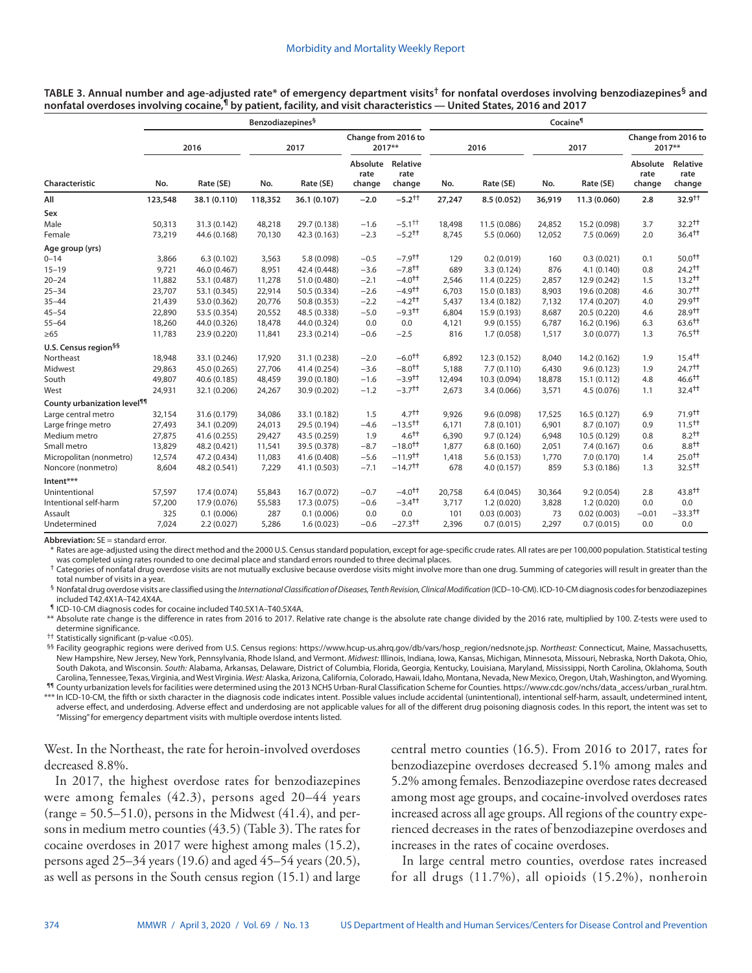| TABLE 3. Annual number and age-adjusted rate* of emergency department visits <sup>†</sup> for nonfatal overdoses involving benzodiazepines <sup>§</sup> and |  |
|-------------------------------------------------------------------------------------------------------------------------------------------------------------|--|
| nonfatal overdoses involving cocaine,¶ by patient, facility, and visit characteristics — United States, 2016 and 2017                                       |  |

|                                         | <b>Benzodiazepines</b> <sup>§</sup> |              |         |              |                                     |                         |        | Cocaine <sup>1</sup> |        |              |                               |                            |  |  |
|-----------------------------------------|-------------------------------------|--------------|---------|--------------|-------------------------------------|-------------------------|--------|----------------------|--------|--------------|-------------------------------|----------------------------|--|--|
|                                         | 2016                                |              | 2017    |              | Change from 2016 to<br>2017**       |                         | 2016   |                      | 2017   |              | Change from 2016 to<br>2017** |                            |  |  |
| Characteristic                          | No.                                 | Rate (SE)    | No.     | Rate (SE)    | Absolute Relative<br>rate<br>change | rate<br>change          | No.    | Rate (SE)            | No.    | Rate (SE)    | Absolute<br>rate<br>change    | Relative<br>rate<br>change |  |  |
| All                                     | 123,548                             | 38.1 (0.110) | 118,352 | 36.1 (0.107) | $-2.0$                              | $-5.2$ <sup>++</sup>    | 27,247 | 8.5 (0.052)          | 36,919 | 11.3 (0.060) | 2.8                           | 32.9 <sup>++</sup>         |  |  |
| Sex                                     |                                     |              |         |              |                                     |                         |        |                      |        |              |                               |                            |  |  |
| Male                                    | 50,313                              | 31.3 (0.142) | 48,218  | 29.7 (0.138) | $-1.6$                              | $-5.1^{\dagger\dagger}$ | 18,498 | 11.5 (0.086)         | 24,852 | 15.2 (0.098) | 3.7                           | 32.2 <sup>†</sup>          |  |  |
| Female                                  | 73,219                              | 44.6 (0.168) | 70,130  | 42.3 (0.163) | $-2.3$                              | $-5.2$ <sup>++</sup>    | 8,745  | 5.5(0.060)           | 12,052 | 7.5(0.069)   | 2.0                           | 36.4 <sup>†</sup>          |  |  |
| Age group (yrs)                         |                                     |              |         |              |                                     |                         |        |                      |        |              |                               |                            |  |  |
| $0 - 14$                                | 3,866                               | 6.3(0.102)   | 3,563   | 5.8 (0.098)  | $-0.5$                              | $-7.9$ <sup>++</sup>    | 129    | 0.2(0.019)           | 160    | 0.3(0.021)   | 0.1                           | $50.0^{+1}$                |  |  |
| $15 - 19$                               | 9,721                               | 46.0 (0.467) | 8,951   | 42.4 (0.448) | $-3.6$                              | $-7.8$ <sup>++</sup>    | 689    | 3.3(0.124)           | 876    | 4.1(0.140)   | 0.8                           | $24.2$ <sup>++</sup>       |  |  |
| $20 - 24$                               | 11,882                              | 53.1 (0.487) | 11,278  | 51.0 (0.480) | $-2.1$                              | $-4.0^{+1}$             | 2,546  | 11.4 (0.225)         | 2,857  | 12.9 (0.242) | 1.5                           | $13.2^{\dagger\dagger}$    |  |  |
| $25 - 34$                               | 23,707                              | 53.1 (0.345) | 22,914  | 50.5 (0.334) | $-2.6$                              | $-4.9$ <sup>++</sup>    | 6,703  | 15.0 (0.183)         | 8,903  | 19.6 (0.208) | 4.6                           | $30.7++$                   |  |  |
| $35 - 44$                               | 21,439                              | 53.0 (0.362) | 20,776  | 50.8 (0.353) | $-2.2$                              | $-4.2$ <sup>++</sup>    | 5,437  | 13.4 (0.182)         | 7,132  | 17.4 (0.207) | 4.0                           | 29.9 <sup>tt</sup>         |  |  |
| $45 - 54$                               | 22,890                              | 53.5 (0.354) | 20,552  | 48.5 (0.338) | $-5.0$                              | $-9.3$ <sup>++</sup>    | 6,804  | 15.9 (0.193)         | 8,687  | 20.5 (0.220) | 4.6                           | 28.9 <sup>tt</sup>         |  |  |
| $55 - 64$                               | 18,260                              | 44.0 (0.326) | 18,478  | 44.0 (0.324) | 0.0                                 | 0.0                     | 4,121  | 9.9(0.155)           | 6,787  | 16.2 (0.196) | 6.3                           | $63.6^{\dagger\dagger}$    |  |  |
| $\geq 65$                               | 11,783                              | 23.9 (0.220) | 11,841  | 23.3 (0.214) | $-0.6$                              | $-2.5$                  | 816    | 1.7(0.058)           | 1,517  | 3.0(0.077)   | 1.3                           | $76.5++$                   |  |  |
| U.S. Census region <sup>§§</sup>        |                                     |              |         |              |                                     |                         |        |                      |        |              |                               |                            |  |  |
| Northeast                               | 18,948                              | 33.1 (0.246) | 17,920  | 31.1 (0.238) | $-2.0$                              | $-6.0^{+1}$             | 6,892  | 12.3 (0.152)         | 8,040  | 14.2 (0.162) | 1.9                           | $15.4^{\dagger\dagger}$    |  |  |
| Midwest                                 | 29,863                              | 45.0 (0.265) | 27,706  | 41.4 (0.254) | $-3.6$                              | $-8.0^{++}$             | 5,188  | 7.7(0.110)           | 6,430  | 9.6(0.123)   | 1.9                           | 24.7 <sup>†</sup>          |  |  |
| South                                   | 49,807                              | 40.6 (0.185) | 48,459  | 39.0 (0.180) | $-1.6$                              | $-3.9$ <sup>++</sup>    | 12,494 | 10.3 (0.094)         | 18,878 | 15.1 (0.112) | 4.8                           | $46.6$ <sup>++</sup>       |  |  |
| West                                    | 24,931                              | 32.1 (0.206) | 24,267  | 30.9 (0.202) | $-1.2$                              | $-3.7++$                | 2,673  | 3.4(0.066)           | 3,571  | 4.5(0.076)   | 1.1                           | $32.4++$                   |  |  |
| County urbanization level <sup>99</sup> |                                     |              |         |              |                                     |                         |        |                      |        |              |                               |                            |  |  |
| Large central metro                     | 32,154                              | 31.6 (0.179) | 34,086  | 33.1 (0.182) | 1.5                                 | 4.7 <sup>†</sup>        | 9,926  | 9.6(0.098)           | 17,525 | 16.5(0.127)  | 6.9                           | $71.9$ <sup>++</sup>       |  |  |
| Large fringe metro                      | 27,493                              | 34.1 (0.209) | 24,013  | 29.5 (0.194) | $-4.6$                              | $-13.5$ <sup>++</sup>   | 6,171  | 7.8(0.101)           | 6,901  | 8.7(0.107)   | 0.9                           | $11.5^{\dagger\dagger}$    |  |  |
| Medium metro                            | 27,875                              | 41.6 (0.255) | 29,427  | 43.5 (0.259) | 1.9                                 | $4.6 +$                 | 6,390  | 9.7(0.124)           | 6,948  | 10.5 (0.129) | 0.8                           | $8.2^{++}$                 |  |  |
| Small metro                             | 13,829                              | 48.2 (0.421) | 11,541  | 39.5 (0.378) | $-8.7$                              | $-18.0^{+1}$            | 1,877  | 6.8(0.160)           | 2,051  | 7.4(0.167)   | 0.6                           | $8.8^{++}$                 |  |  |
| Micropolitan (nonmetro)                 | 12,574                              | 47.2 (0.434) | 11,083  | 41.6 (0.408) | $-5.6$                              | $-11.9$ <sup>++</sup>   | 1,418  | 5.6(0.153)           | 1,770  | 7.0(0.170)   | 1.4                           | $25.0^{++}$                |  |  |
| Noncore (nonmetro)                      | 8,604                               | 48.2 (0.541) | 7,229   | 41.1 (0.503) | $-7.1$                              | $-14.7$ <sup>++</sup>   | 678    | 4.0(0.157)           | 859    | 5.3(0.186)   | 1.3                           | $32.5^{\dagger\dagger}$    |  |  |
| Intent***                               |                                     |              |         |              |                                     |                         |        |                      |        |              |                               |                            |  |  |
| Unintentional                           | 57.597                              | 17.4 (0.074) | 55,843  | 16.7(0.072)  | $-0.7$                              | $-4.0^{+1}$             | 20.758 | 6.4(0.045)           | 30,364 | 9.2(0.054)   | 2.8                           | $43.8^{\dagger\dagger}$    |  |  |
| Intentional self-harm                   | 57,200                              | 17.9 (0.076) | 55,583  | 17.3 (0.075) | $-0.6$                              | $-3.4$ <sup>++</sup>    | 3,717  | 1.2(0.020)           | 3,828  | 1.2(0.020)   | 0.0                           | 0.0                        |  |  |
| Assault                                 | 325                                 | 0.1(0.006)   | 287     | 0.1(0.006)   | 0.0                                 | 0.0                     | 101    | 0.03(0.003)          | 73     | 0.02(0.003)  | $-0.01$                       | $-33.3$ <sup>++</sup>      |  |  |
| Undetermined                            | 7,024                               | 2.2(0.027)   | 5,286   | 1.6(0.023)   | $-0.6$                              | $-27.3$ <sup>++</sup>   | 2,396  | 0.7(0.015)           | 2,297  | 0.7(0.015)   | 0.0                           | 0.0                        |  |  |

**Abbreviation:** SE = standard error.

\* Rates are age-adjusted using the direct method and the 2000 U.S. Census standard population, except for age-specific crude rates. All rates are per 100,000 population. Statistical testing was completed using rates rounded to one decimal place and standard errors rounded to three decimal places.

 $\dagger$  Categories of nonfatal drug overdose visits are not mutually exclusive because overdose visits might involve more than one drug. Summing of categories will result in greater than the total number of visits in a year.

§ Nonfatal drug overdose visits are classified using the *International Classification of Diseases, Tenth Revision, Clinical Modification* (ICD–10-CM). ICD-10-CM diagnosis codes for benzodiazepines included T42.4X1A–T42.4X4A.

¶ ICD-10-CM diagnosis codes for cocaine included T40.5X1A–T40.5X4A.

\*\* Absolute rate change is the difference in rates from 2016 to 2017. Relative rate change is the absolute rate change divided by the 2016 rate, multiplied by 100. Z-tests were used to determine significance.

†† Statistically significant (p-value <0.05).

§§ Facility geographic regions were derived from U.S. Census regions: [https://www.hcup-us.ahrq.gov/db/vars/hosp\\_region/nedsnote.jsp.](https://www.hcup-us.ahrq.gov/db/vars/hosp_region/nedsnote.jsp) *Northeast:* Connecticut, Maine, Massachusetts, New Hampshire, New Jersey, New York, Pennsylvania, Rhode Island, and Vermont. *Midwest:* Illinois, Indiana, Iowa, Kansas, Michigan, Minnesota, Missouri, Nebraska, North Dakota, Ohio, South Dakota, and Wisconsin. *South:* Alabama, Arkansas, Delaware, District of Columbia, Florida, Georgia, Kentucky, Louisiana, Maryland, Mississippi, North Carolina, Oklahoma, South Carolina, Tennessee, Texas, Virginia, and West Virginia. *West:* Alaska, Arizona, California, Colorado, Hawaii, Idaho, Montana, Nevada, New Mexico, Oregon, Utah, Washington, and Wyoming.

¶¶ County urbanization levels for facilities were determined using the 2013 NCHS Urban-Rural Classification Scheme for Counties. [https://www.cdc.gov/nchs/data\\_access/urban\\_rural.htm.](https://www.cdc.gov/nchs/data_access/urban_rural.htm) \*\*\* In ICD-10-CM, the fifth or sixth character in the diagnosis code indicates intent. Possible values include accidental (unintentional), intentional self-harm, assault, undetermined intent, adverse effect, and underdosing. Adverse effect and underdosing are not applicable values for all of the different drug poisoning diagnosis codes. In this report, the intent was set to "Missing" for emergency department visits with multiple overdose intents listed.

West. In the Northeast, the rate for heroin-involved overdoses decreased 8.8%.

In 2017, the highest overdose rates for benzodiazepines were among females (42.3), persons aged 20–44 years (range =  $50.5-51.0$ ), persons in the Midwest  $(41.4)$ , and persons in medium metro counties (43.5) (Table 3). The rates for cocaine overdoses in 2017 were highest among males (15.2), persons aged 25–34 years (19.6) and aged 45–54 years (20.5), as well as persons in the South census region (15.1) and large central metro counties (16.5). From 2016 to 2017, rates for benzodiazepine overdoses decreased 5.1% among males and 5.2% among females. Benzodiazepine overdose rates decreased among most age groups, and cocaine-involved overdoses rates increased across all age groups. All regions of the country experienced decreases in the rates of benzodiazepine overdoses and increases in the rates of cocaine overdoses.

In large central metro counties, overdose rates increased for all drugs (11.7%), all opioids (15.2%), nonheroin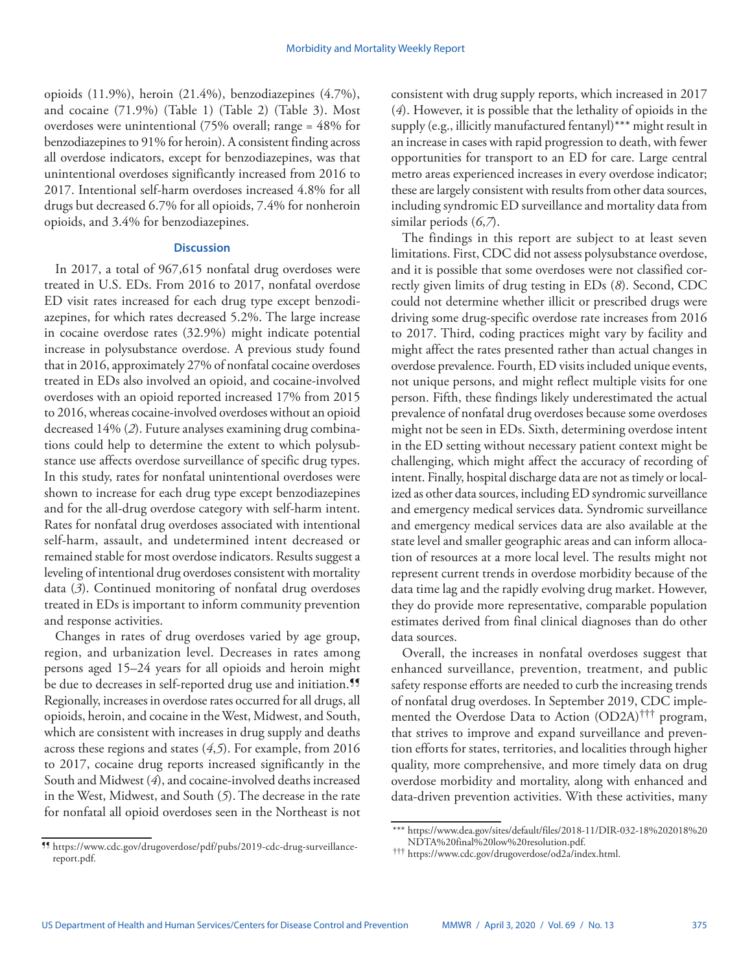opioids (11.9%), heroin (21.4%), benzodiazepines (4.7%), and cocaine (71.9%) (Table 1) (Table 2) (Table 3). Most overdoses were unintentional (75% overall; range = 48% for benzodiazepines to 91% for heroin). A consistent finding across all overdose indicators, except for benzodiazepines, was that unintentional overdoses significantly increased from 2016 to 2017. Intentional self-harm overdoses increased 4.8% for all drugs but decreased 6.7% for all opioids, 7.4% for nonheroin opioids, and 3.4% for benzodiazepines.

## **Discussion**

In 2017, a total of 967,615 nonfatal drug overdoses were treated in U.S. EDs. From 2016 to 2017, nonfatal overdose ED visit rates increased for each drug type except benzodiazepines, for which rates decreased 5.2%. The large increase in cocaine overdose rates (32.9%) might indicate potential increase in polysubstance overdose. A previous study found that in 2016, approximately 27% of nonfatal cocaine overdoses treated in EDs also involved an opioid, and cocaine-involved overdoses with an opioid reported increased 17% from 2015 to 2016, whereas cocaine-involved overdoses without an opioid decreased 14% (*2*). Future analyses examining drug combinations could help to determine the extent to which polysubstance use affects overdose surveillance of specific drug types. In this study, rates for nonfatal unintentional overdoses were shown to increase for each drug type except benzodiazepines and for the all-drug overdose category with self-harm intent. Rates for nonfatal drug overdoses associated with intentional self-harm, assault, and undetermined intent decreased or remained stable for most overdose indicators. Results suggest a leveling of intentional drug overdoses consistent with mortality data (*3*). Continued monitoring of nonfatal drug overdoses treated in EDs is important to inform community prevention and response activities.

Changes in rates of drug overdoses varied by age group, region, and urbanization level. Decreases in rates among persons aged 15–24 years for all opioids and heroin might be due to decreases in self-reported drug use and initiation.<sup>99</sup> Regionally, increases in overdose rates occurred for all drugs, all opioids, heroin, and cocaine in the West, Midwest, and South, which are consistent with increases in drug supply and deaths across these regions and states (*4*,*5*). For example, from 2016 to 2017, cocaine drug reports increased significantly in the South and Midwest (*4*), and cocaine-involved deaths increased in the West, Midwest, and South (*5*). The decrease in the rate for nonfatal all opioid overdoses seen in the Northeast is not

¶¶ [https://www.cdc.gov/drugoverdose/pdf/pubs/2019-cdc-drug-surveillance](https://www.cdc.gov/drugoverdose/pdf/pubs/2019-cdc-drug-surveillance-report.pdf)[report.pdf](https://www.cdc.gov/drugoverdose/pdf/pubs/2019-cdc-drug-surveillance-report.pdf).

consistent with drug supply reports, which increased in 2017 (*4*). However, it is possible that the lethality of opioids in the supply (e.g., illicitly manufactured fentanyl)\*\*\* might result in an increase in cases with rapid progression to death, with fewer opportunities for transport to an ED for care. Large central metro areas experienced increases in every overdose indicator; these are largely consistent with results from other data sources, including syndromic ED surveillance and mortality data from similar periods (*6*,*7*).

The findings in this report are subject to at least seven limitations. First, CDC did not assess polysubstance overdose, and it is possible that some overdoses were not classified correctly given limits of drug testing in EDs (*8*). Second, CDC could not determine whether illicit or prescribed drugs were driving some drug-specific overdose rate increases from 2016 to 2017. Third, coding practices might vary by facility and might affect the rates presented rather than actual changes in overdose prevalence. Fourth, ED visits included unique events, not unique persons, and might reflect multiple visits for one person. Fifth, these findings likely underestimated the actual prevalence of nonfatal drug overdoses because some overdoses might not be seen in EDs. Sixth, determining overdose intent in the ED setting without necessary patient context might be challenging, which might affect the accuracy of recording of intent. Finally, hospital discharge data are not as timely or localized as other data sources, including ED syndromic surveillance and emergency medical services data. Syndromic surveillance and emergency medical services data are also available at the state level and smaller geographic areas and can inform allocation of resources at a more local level. The results might not represent current trends in overdose morbidity because of the data time lag and the rapidly evolving drug market. However, they do provide more representative, comparable population estimates derived from final clinical diagnoses than do other data sources.

Overall, the increases in nonfatal overdoses suggest that enhanced surveillance, prevention, treatment, and public safety response efforts are needed to curb the increasing trends of nonfatal drug overdoses. In September 2019, CDC implemented the Overdose Data to Action (OD2A)††† program, that strives to improve and expand surveillance and prevention efforts for states, territories, and localities through higher quality, more comprehensive, and more timely data on drug overdose morbidity and mortality, along with enhanced and data-driven prevention activities. With these activities, many

<sup>\*\*\*</sup> [https://www.dea.gov/sites/default/files/2018-11/DIR-032-18%202018%20](https://www.dea.gov/sites/default/files/2018-11/DIR-032-18%202018%20NDTA%20final%20low%20resolution.pdf)

<sup>&</sup>lt;sup>†††</sup> <https://www.cdc.gov/drugoverdose/od2a/index.html>.